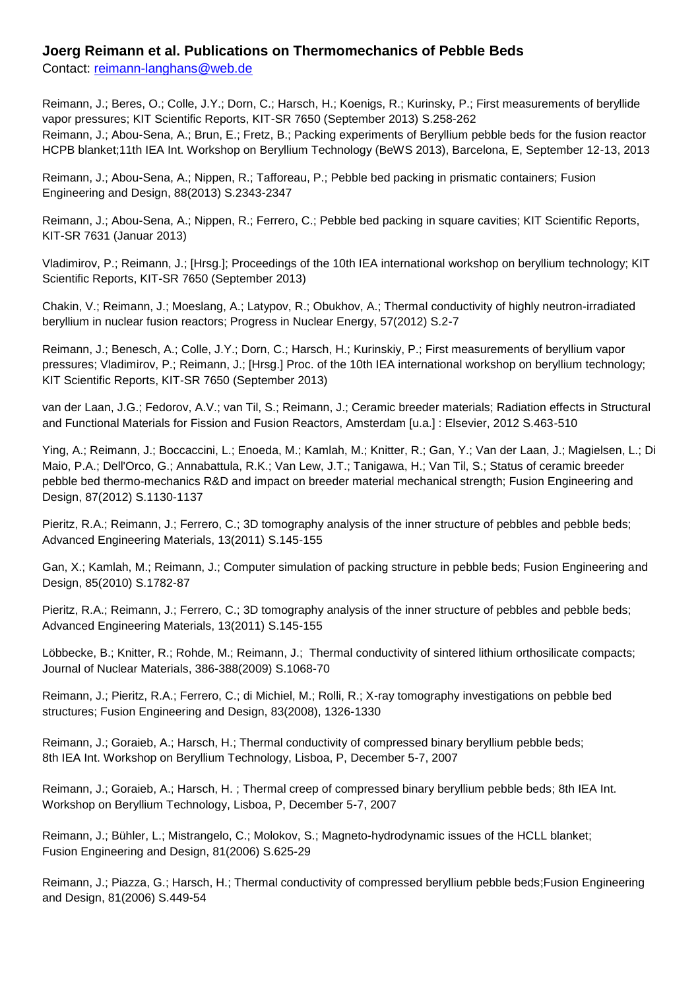## **Joerg Reimann et al. Publications on Thermomechanics of Pebble Beds**

Contact: [reimann-langhans@web.de](mailto:reimann-langhans@web.de)

Reimann, J.; Beres, O.; Colle, J.Y.; Dorn, C.; Harsch, H.; Koenigs, R.; Kurinsky, P.; First measurements of beryllide vapor pressures; KIT Scientific Reports, KIT-SR 7650 (September 2013) S.258-262 Reimann, J.; Abou-Sena, A.; Brun, E.; Fretz, B.; Packing experiments of Beryllium pebble beds for the fusion reactor HCPB blanket;11th IEA Int. Workshop on Beryllium Technology (BeWS 2013), Barcelona, E, September 12-13, 2013

Reimann, J.; Abou-Sena, A.; Nippen, R.; Tafforeau, P.; Pebble bed packing in prismatic containers; Fusion Engineering and Design, 88(2013) S.2343-2347

Reimann, J.; Abou-Sena, A.; Nippen, R.; Ferrero, C.; Pebble bed packing in square cavities; KIT Scientific Reports, KIT-SR 7631 (Januar 2013)

Vladimirov, P.; Reimann, J.; [Hrsg.]; Proceedings of the 10th IEA international workshop on beryllium technology; KIT Scientific Reports, KIT-SR 7650 (September 2013)

Chakin, V.; Reimann, J.; Moeslang, A.; Latypov, R.; Obukhov, A.; Thermal conductivity of highly neutron-irradiated beryllium in nuclear fusion reactors; Progress in Nuclear Energy, 57(2012) S.2-7

Reimann, J.; Benesch, A.; Colle, J.Y.; Dorn, C.; Harsch, H.; Kurinskiy, P.; First measurements of beryllium vapor pressures; Vladimirov, P.; Reimann, J.; [Hrsg.] Proc. of the 10th IEA international workshop on beryllium technology; KIT Scientific Reports, KIT-SR 7650 (September 2013)

van der Laan, J.G.; Fedorov, A.V.; van Til, S.; Reimann, J.; Ceramic breeder materials; Radiation effects in Structural and Functional Materials for Fission and Fusion Reactors, Amsterdam [u.a.] : Elsevier, 2012 S.463-510

Ying, A.; Reimann, J.; Boccaccini, L.; Enoeda, M.; Kamlah, M.; Knitter, R.; Gan, Y.; Van der Laan, J.; Magielsen, L.; Di Maio, P.A.; Dell'Orco, G.; Annabattula, R.K.; Van Lew, J.T.; Tanigawa, H.; Van Til, S.; Status of ceramic breeder pebble bed thermo-mechanics R&D and impact on breeder material mechanical strength; Fusion Engineering and Design, 87(2012) S.1130-1137

Pieritz, R.A.; Reimann, J.; Ferrero, C.; 3D tomography analysis of the inner structure of pebbles and pebble beds; Advanced Engineering Materials, 13(2011) S.145-155

Gan, X.; Kamlah, M.; Reimann, J.; Computer simulation of packing structure in pebble beds; Fusion Engineering and Design, 85(2010) S.1782-87

Pieritz, R.A.; Reimann, J.; Ferrero, C.; 3D tomography analysis of the inner structure of pebbles and pebble beds; Advanced Engineering Materials, 13(2011) S.145-155

Löbbecke, B.; Knitter, R.; Rohde, M.; Reimann, J.; Thermal conductivity of sintered lithium orthosilicate compacts; Journal of Nuclear Materials, 386-388(2009) S.1068-70

Reimann, J.; Pieritz, R.A.; Ferrero, C.; di Michiel, M.; Rolli, R.; X-ray tomography investigations on pebble bed structures; Fusion Engineering and Design, 83(2008), 1326-1330

Reimann, J.; Goraieb, A.; Harsch, H.; Thermal conductivity of compressed binary beryllium pebble beds; 8th IEA Int. Workshop on Beryllium Technology, Lisboa, P, December 5-7, 2007

Reimann, J.; Goraieb, A.; Harsch, H. ; Thermal creep of compressed binary beryllium pebble beds; 8th IEA Int. Workshop on Beryllium Technology, Lisboa, P, December 5-7, 2007

Reimann, J.; Bühler, L.; Mistrangelo, C.; Molokov, S.; Magneto-hydrodynamic issues of the HCLL blanket; Fusion Engineering and Design, 81(2006) S.625-29

Reimann, J.; Piazza, G.; Harsch, H.; Thermal conductivity of compressed beryllium pebble beds;Fusion Engineering and Design, 81(2006) S.449-54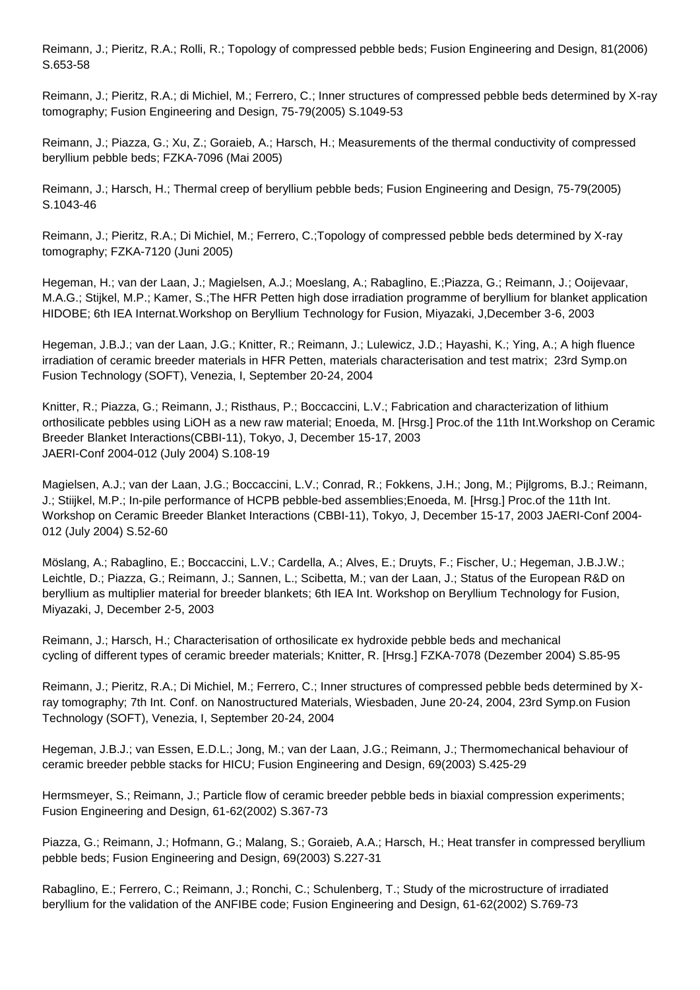Reimann, J.; Pieritz, R.A.; Rolli, R.; Topology of compressed pebble beds; Fusion Engineering and Design, 81(2006) S.653-58

Reimann, J.; Pieritz, R.A.; di Michiel, M.; Ferrero, C.; Inner structures of compressed pebble beds determined by X-ray tomography; Fusion Engineering and Design, 75-79(2005) S.1049-53

Reimann, J.; Piazza, G.; Xu, Z.; Goraieb, A.; Harsch, H.; Measurements of the thermal conductivity of compressed beryllium pebble beds; FZKA-7096 (Mai 2005)

Reimann, J.; Harsch, H.; Thermal creep of beryllium pebble beds; Fusion Engineering and Design, 75-79(2005) S.1043-46

Reimann, J.; Pieritz, R.A.; Di Michiel, M.; Ferrero, C.;Topology of compressed pebble beds determined by X-ray tomography; FZKA-7120 (Juni 2005)

Hegeman, H.; van der Laan, J.; Magielsen, A.J.; Moeslang, A.; Rabaglino, E.;Piazza, G.; Reimann, J.; Ooijevaar, M.A.G.; Stijkel, M.P.; Kamer, S.;The HFR Petten high dose irradiation programme of beryllium for blanket application HIDOBE; 6th IEA Internat.Workshop on Beryllium Technology for Fusion, Miyazaki, J,December 3-6, 2003

Hegeman, J.B.J.; van der Laan, J.G.; Knitter, R.; Reimann, J.; Lulewicz, J.D.; Hayashi, K.; Ying, A.; A high fluence irradiation of ceramic breeder materials in HFR Petten, materials characterisation and test matrix; 23rd Symp.on Fusion Technology (SOFT), Venezia, I, September 20-24, 2004

Knitter, R.; Piazza, G.; Reimann, J.; Risthaus, P.; Boccaccini, L.V.; Fabrication and characterization of lithium orthosilicate pebbles using LiOH as a new raw material; Enoeda, M. [Hrsg.] Proc.of the 11th Int.Workshop on Ceramic Breeder Blanket Interactions(CBBI-11), Tokyo, J, December 15-17, 2003 JAERI-Conf 2004-012 (July 2004) S.108-19

Magielsen, A.J.; van der Laan, J.G.; Boccaccini, L.V.; Conrad, R.; Fokkens, J.H.; Jong, M.; Pijlgroms, B.J.; Reimann, J.; Stiijkel, M.P.; In-pile performance of HCPB pebble-bed assemblies;Enoeda, M. [Hrsg.] Proc.of the 11th Int. Workshop on Ceramic Breeder Blanket Interactions (CBBI-11), Tokyo, J, December 15-17, 2003 JAERI-Conf 2004- 012 (July 2004) S.52-60

Möslang, A.; Rabaglino, E.; Boccaccini, L.V.; Cardella, A.; Alves, E.; Druyts, F.; Fischer, U.; Hegeman, J.B.J.W.; Leichtle, D.; Piazza, G.; Reimann, J.; Sannen, L.; Scibetta, M.; van der Laan, J.; Status of the European R&D on beryllium as multiplier material for breeder blankets; 6th IEA Int. Workshop on Beryllium Technology for Fusion, Miyazaki, J, December 2-5, 2003

Reimann, J.; Harsch, H.; Characterisation of orthosilicate ex hydroxide pebble beds and mechanical cycling of different types of ceramic breeder materials; Knitter, R. [Hrsg.] FZKA-7078 (Dezember 2004) S.85-95

Reimann, J.; Pieritz, R.A.; Di Michiel, M.; Ferrero, C.; Inner structures of compressed pebble beds determined by Xray tomography; 7th Int. Conf. on Nanostructured Materials, Wiesbaden, June 20-24, 2004, 23rd Symp.on Fusion Technology (SOFT), Venezia, I, September 20-24, 2004

Hegeman, J.B.J.; van Essen, E.D.L.; Jong, M.; van der Laan, J.G.; Reimann, J.; Thermomechanical behaviour of ceramic breeder pebble stacks for HICU; Fusion Engineering and Design, 69(2003) S.425-29

Hermsmeyer, S.; Reimann, J.; Particle flow of ceramic breeder pebble beds in biaxial compression experiments; Fusion Engineering and Design, 61-62(2002) S.367-73

Piazza, G.; Reimann, J.; Hofmann, G.; Malang, S.; Goraieb, A.A.; Harsch, H.; Heat transfer in compressed beryllium pebble beds; Fusion Engineering and Design, 69(2003) S.227-31

Rabaglino, E.; Ferrero, C.; Reimann, J.; Ronchi, C.; Schulenberg, T.; Study of the microstructure of irradiated beryllium for the validation of the ANFIBE code; Fusion Engineering and Design, 61-62(2002) S.769-73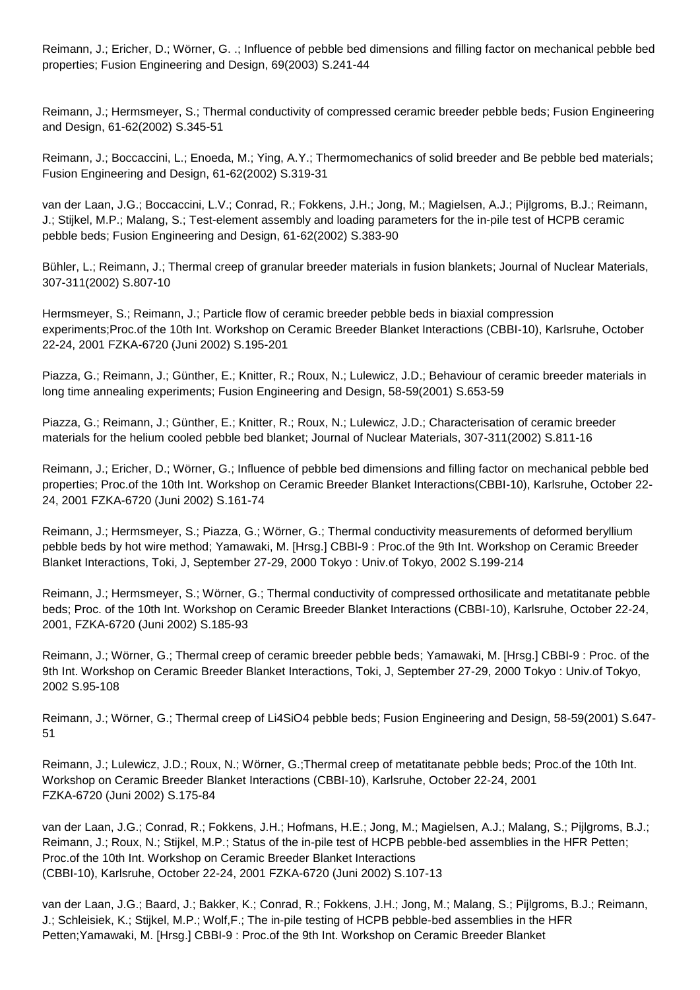Reimann, J.; Ericher, D.; Wörner, G. .; Influence of pebble bed dimensions and filling factor on mechanical pebble bed properties; Fusion Engineering and Design, 69(2003) S.241-44

Reimann, J.; Hermsmeyer, S.; Thermal conductivity of compressed ceramic breeder pebble beds; Fusion Engineering and Design, 61-62(2002) S.345-51

Reimann, J.; Boccaccini, L.; Enoeda, M.; Ying, A.Y.; Thermomechanics of solid breeder and Be pebble bed materials; Fusion Engineering and Design, 61-62(2002) S.319-31

van der Laan, J.G.; Boccaccini, L.V.; Conrad, R.; Fokkens, J.H.; Jong, M.; Magielsen, A.J.; Pijlgroms, B.J.; Reimann, J.; Stijkel, M.P.; Malang, S.; Test-element assembly and loading parameters for the in-pile test of HCPB ceramic pebble beds; Fusion Engineering and Design, 61-62(2002) S.383-90

Bühler, L.; Reimann, J.; Thermal creep of granular breeder materials in fusion blankets; Journal of Nuclear Materials, 307-311(2002) S.807-10

Hermsmeyer, S.; Reimann, J.; Particle flow of ceramic breeder pebble beds in biaxial compression experiments;Proc.of the 10th Int. Workshop on Ceramic Breeder Blanket Interactions (CBBI-10), Karlsruhe, October 22-24, 2001 FZKA-6720 (Juni 2002) S.195-201

Piazza, G.; Reimann, J.; Günther, E.; Knitter, R.; Roux, N.; Lulewicz, J.D.; Behaviour of ceramic breeder materials in long time annealing experiments; Fusion Engineering and Design, 58-59(2001) S.653-59

Piazza, G.; Reimann, J.; Günther, E.; Knitter, R.; Roux, N.; Lulewicz, J.D.; Characterisation of ceramic breeder materials for the helium cooled pebble bed blanket; Journal of Nuclear Materials, 307-311(2002) S.811-16

Reimann, J.; Ericher, D.; Wörner, G.; Influence of pebble bed dimensions and filling factor on mechanical pebble bed properties; Proc.of the 10th Int. Workshop on Ceramic Breeder Blanket Interactions(CBBI-10), Karlsruhe, October 22- 24, 2001 FZKA-6720 (Juni 2002) S.161-74

Reimann, J.; Hermsmeyer, S.; Piazza, G.; Wörner, G.; Thermal conductivity measurements of deformed beryllium pebble beds by hot wire method; Yamawaki, M. [Hrsg.] CBBI-9 : Proc.of the 9th Int. Workshop on Ceramic Breeder Blanket Interactions, Toki, J, September 27-29, 2000 Tokyo : Univ.of Tokyo, 2002 S.199-214

Reimann, J.; Hermsmeyer, S.; Wörner, G.; Thermal conductivity of compressed orthosilicate and metatitanate pebble beds; Proc. of the 10th Int. Workshop on Ceramic Breeder Blanket Interactions (CBBI-10), Karlsruhe, October 22-24, 2001, FZKA-6720 (Juni 2002) S.185-93

Reimann, J.; Wörner, G.; Thermal creep of ceramic breeder pebble beds; Yamawaki, M. [Hrsg.] CBBI-9 : Proc. of the 9th Int. Workshop on Ceramic Breeder Blanket Interactions, Toki, J, September 27-29, 2000 Tokyo : Univ.of Tokyo, 2002 S.95-108

Reimann, J.; Wörner, G.; Thermal creep of Li4SiO4 pebble beds; Fusion Engineering and Design, 58-59(2001) S.647- 51

Reimann, J.; Lulewicz, J.D.; Roux, N.; Wörner, G.;Thermal creep of metatitanate pebble beds; Proc.of the 10th Int. Workshop on Ceramic Breeder Blanket Interactions (CBBI-10), Karlsruhe, October 22-24, 2001 FZKA-6720 (Juni 2002) S.175-84

van der Laan, J.G.; Conrad, R.; Fokkens, J.H.; Hofmans, H.E.; Jong, M.; Magielsen, A.J.; Malang, S.; Pijlgroms, B.J.; Reimann, J.; Roux, N.; Stijkel, M.P.; Status of the in-pile test of HCPB pebble-bed assemblies in the HFR Petten; Proc.of the 10th Int. Workshop on Ceramic Breeder Blanket Interactions (CBBI-10), Karlsruhe, October 22-24, 2001 FZKA-6720 (Juni 2002) S.107-13

van der Laan, J.G.; Baard, J.; Bakker, K.; Conrad, R.; Fokkens, J.H.; Jong, M.; Malang, S.; Pijlgroms, B.J.; Reimann, J.; Schleisiek, K.; Stijkel, M.P.; Wolf,F.; The in-pile testing of HCPB pebble-bed assemblies in the HFR Petten;Yamawaki, M. [Hrsg.] CBBI-9 : Proc.of the 9th Int. Workshop on Ceramic Breeder Blanket